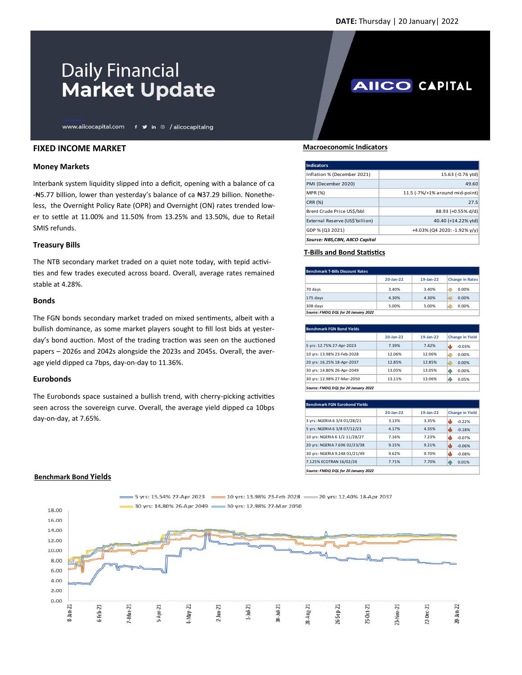**AIICO CAPITAL** 

# **Daily Financial Market Update**

www.aiicocapital.com f y in @ /aiicocapitalng

## **FIXED INCOME MARKET**

### **Money Markets**

Interbank system liquidity slipped into a deficit, opening with a balance of ca -₦5.77 billion, lower than yesterday's balance of ca ₦37.29 billion. Nonetheless, the Overnight Policy Rate (OPR) and Overnight (ON) rates trended lower to settle at 11.00% and 11.50% from 13.25% and 13.50%, due to Retail SMIS refunds.

#### **Treasury Bills**

The NTB secondary market traded on a quiet note today, with tepid activities and few trades executed across board. Overall, average rates remained stable at 4.28%.

#### **Bonds**

The FGN bonds secondary market traded on mixed sentiments, albeit with a bullish dominance, as some market players sought to fill lost bids at yesterday's bond auction. Most of the trading traction was seen on the auctioned papers – 2026s and 2042s alongside the 2023s and 2045s. Overall, the average yield dipped ca 7bps, day-on-day to 11.36%.

#### **Eurobonds**

The Eurobonds space sustained a bullish trend, with cherry-picking activities seen across the sovereign curve. Overall, the average yield dipped ca 10bps day-on-day, at 7.65%.

#### **Macroeconomic Indicators**

| Indicators                      |                                 |
|---------------------------------|---------------------------------|
| Inflation % (December 2021)     | 15.63 (-0.76 ytd)               |
| PMI (December 2020)             | 49.60                           |
| <b>MPR (%)</b>                  | 11.5 (-7%/+1% around mid-point) |
| <b>CRR (%)</b>                  | 27.5                            |
| Brent Crude Price US\$/bbl      | 88.93 (+0.55% d/d)              |
| External Reserve (US\$'billion) | 40.40 (+14.22% ytd)             |
| GDP % (Q3 2021)                 | +4.03% (Q4 2020: -1.92% y/y)    |
| Source: NBS.CBN. AIICO Capital  |                                 |

## **T-Bills and Bond Statistics**

| <b>Benchmark T-Bills Discount Rates</b> |           |           |                        |
|-----------------------------------------|-----------|-----------|------------------------|
|                                         | 20-Jan-22 | 19-Jan-22 | <b>Change in Rates</b> |
| 70 days                                 | 3.40%     | 3.40%     | 0.00%<br>⇔             |
| $175$ days                              | 4.30%     | 4.30%     | 臣<br>0.00%             |
| 308 days                                | 5.00%     | 5.00%     | 0.00%<br>⇔             |
| Source: FMDQ DQL for 20 January 2022    |           |           |                        |

| <b>Benchmark FGN Bond Yields</b>     |           |           |                        |
|--------------------------------------|-----------|-----------|------------------------|
|                                      | 20-Jan-22 | 19-Jan-22 | <b>Change in Yield</b> |
| 5 yrs: 12.75% 27-Apr-2023            | 7.39%     | 7.42%     | والح<br>$-0.03%$       |
| 10 yrs: 13.98% 23-Feb-2028           | 12.06%    | 12.06%    | Ð<br>0.00%             |
| 20 yrs: 16.25% 18-Apr-2037           | 12.85%    | 12.85%    | ⊜<br>0.00%             |
| 30 yrs: 14.80% 26-Apr-2049           | 13.05%    | 13.05%    | hР<br>0.00%            |
| 30 yrs: 12.98% 27-Mar-2050           | 13.11%    | 13.06%    | 0.05%<br>h             |
| Source: FMDQ DQL for 20 January 2022 |           |           |                        |

| <b>Benchmark FGN Eurobond Yields</b> |           |           |                        |
|--------------------------------------|-----------|-----------|------------------------|
|                                      | 20-Jan-22 | 19-Jan-22 | <b>Change in Yield</b> |
| 3 yrs: NGERIA 6 3/4 01/28/21         | 3.13%     | 3.35%     | $-0.22%$               |
| 5 yrs: NGERIA 6 3/8 07/12/23         | 4.17%     | 4.35%     | $-0.18%$               |
| 10 yrs: NGERIA 6 1/2 11/28/27        | 7.16%     | 7.23%     | $-0.07%$               |
| 20 yrs: NGERIA 7.696 02/23/38        | 9.15%     | 9.21%     | $-0.06%$               |
| 30 yrs: NGERIA 9.248 01/21/49        | 9.62%     | 9.70%     | $-0.08%$               |
| 7.125% ECOTRAN 16/02/26              | 7.71%     | 7.70%     | 0.01%<br>Й۴            |
| Source: FMDO DOL for 20 January 2022 |           |           |                        |



#### **Benchmark Bond Yields**